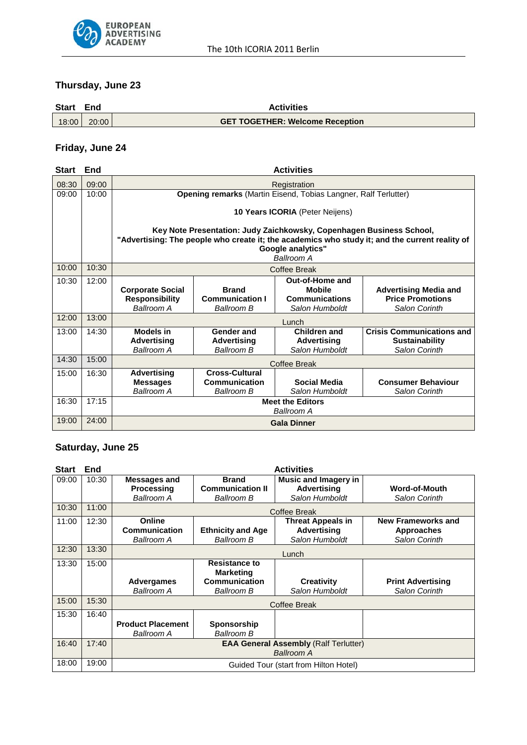

# **Thursday, June 23**

| <b>Start</b> | End   | <b>Activities</b>                      |  |  |
|--------------|-------|----------------------------------------|--|--|
| 18:00        | 20:00 | <b>GET TOGETHER: Welcome Reception</b> |  |  |

# **Friday, June 24**

| <b>Start</b> | End   | <b>Activities</b>                                                                                                                                                                                         |                                                             |                                                                             |                                                                            |
|--------------|-------|-----------------------------------------------------------------------------------------------------------------------------------------------------------------------------------------------------------|-------------------------------------------------------------|-----------------------------------------------------------------------------|----------------------------------------------------------------------------|
| 08:30        | 09:00 | Registration                                                                                                                                                                                              |                                                             |                                                                             |                                                                            |
| 09:00        | 10:00 | Opening remarks (Martin Eisend, Tobias Langner, Ralf Terlutter)                                                                                                                                           |                                                             |                                                                             |                                                                            |
|              |       | <b>10 Years ICORIA</b> (Peter Neijens)                                                                                                                                                                    |                                                             |                                                                             |                                                                            |
|              |       | Key Note Presentation: Judy Zaichkowsky, Copenhagen Business School,<br>"Advertising: The people who create it; the academics who study it; and the current reality of<br>Google analytics"<br>Ballroom A |                                                             |                                                                             |                                                                            |
| 10:00        | 10:30 | Coffee Break                                                                                                                                                                                              |                                                             |                                                                             |                                                                            |
| 10:30        | 12:00 | <b>Corporate Social</b><br><b>Responsibility</b><br><b>Ballroom A</b>                                                                                                                                     | <b>Brand</b><br><b>Communication I</b><br>Ballroom B        | Out-of-Home and<br><b>Mobile</b><br><b>Communications</b><br>Salon Humboldt | <b>Advertising Media and</b><br><b>Price Promotions</b><br>Salon Corinth   |
| 12:00        | 13:00 | Lunch                                                                                                                                                                                                     |                                                             |                                                                             |                                                                            |
| 13:00        | 14:30 | <b>Models in</b><br><b>Advertising</b><br>Ballroom A                                                                                                                                                      | Gender and<br><b>Advertising</b><br><b>Ballroom B</b>       | Children and<br><b>Advertising</b><br>Salon Humboldt                        | <b>Crisis Communications and</b><br><b>Sustainability</b><br>Salon Corinth |
| 14:30        | 15:00 | Coffee Break                                                                                                                                                                                              |                                                             |                                                                             |                                                                            |
| 15:00        | 16:30 | <b>Advertising</b><br><b>Messages</b><br>Ballroom A                                                                                                                                                       | <b>Cross-Cultural</b><br>Communication<br><b>Ballroom B</b> | Social Media<br>Salon Humboldt                                              | <b>Consumer Behaviour</b><br><b>Salon Corinth</b>                          |
| 16:30        | 17:15 | <b>Meet the Editors</b><br>Ballroom A                                                                                                                                                                     |                                                             |                                                                             |                                                                            |
| 19:00        | 24:00 | <b>Gala Dinner</b>                                                                                                                                                                                        |                                                             |                                                                             |                                                                            |

# **Saturday, June 25**

| <b>Start</b> | End   | <b>Activities</b>                                                 |                                                                                |                                                                     |                                                          |
|--------------|-------|-------------------------------------------------------------------|--------------------------------------------------------------------------------|---------------------------------------------------------------------|----------------------------------------------------------|
| 09:00        | 10:30 | Messages and<br>Processing<br>Ballroom A                          | <b>Brand</b><br><b>Communication II</b><br>Ballroom B                          | <b>Music and Imagery in</b><br><b>Advertising</b><br>Salon Humboldt | Word-of-Mouth<br>Salon Corinth                           |
| 10:30        | 11:00 | Coffee Break                                                      |                                                                                |                                                                     |                                                          |
| 11:00        | 12:30 | Online<br>Communication<br><b>Ballroom A</b>                      | <b>Ethnicity and Age</b><br>Ballroom B                                         | <b>Threat Appeals in</b><br><b>Advertising</b><br>Salon Humboldt    | <b>New Frameworks and</b><br>Approaches<br>Salon Corinth |
| 12:30        | 13:30 | Lunch                                                             |                                                                                |                                                                     |                                                          |
| 13:30        | 15:00 | Advergames<br><b>Ballroom A</b>                                   | <b>Resistance to</b><br><b>Marketing</b><br>Communication<br><b>Ballroom B</b> | <b>Creativity</b><br>Salon Humboldt                                 | <b>Print Advertising</b><br>Salon Corinth                |
| 15:00        | 15:30 | <b>Coffee Break</b>                                               |                                                                                |                                                                     |                                                          |
| 15:30        | 16:40 | <b>Product Placement</b><br><b>Ballroom A</b>                     | Sponsorship<br>Ballroom B                                                      |                                                                     |                                                          |
| 16:40        | 17:40 | <b>EAA General Assembly (Ralf Terlutter)</b><br><b>Ballroom A</b> |                                                                                |                                                                     |                                                          |
| 18:00        | 19:00 | Guided Tour (start from Hilton Hotel)                             |                                                                                |                                                                     |                                                          |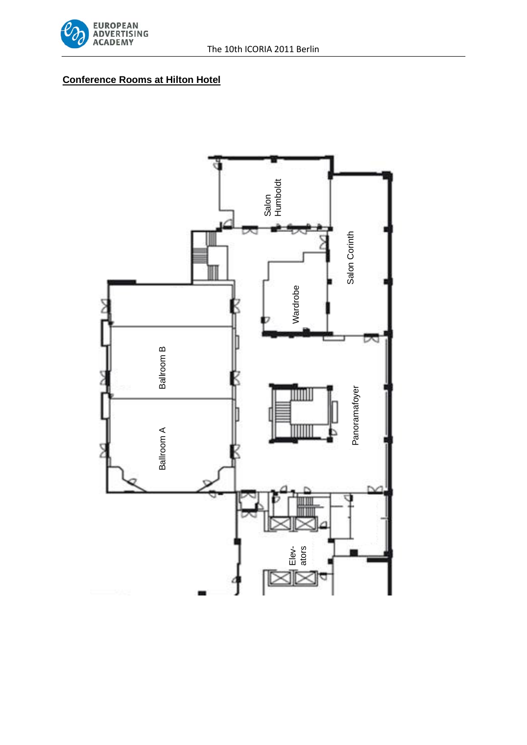

## **Conference Rooms at Hilton Hotel**

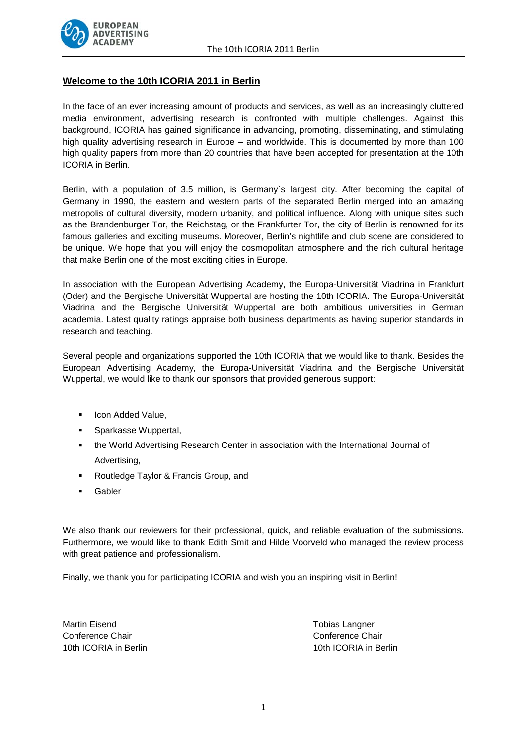

## **Welcome to the 10th ICORIA 2011 in Berlin**

In the face of an ever increasing amount of products and services, as well as an increasingly cluttered media environment, advertising research is confronted with multiple challenges. Against this background, ICORIA has gained significance in advancing, promoting, disseminating, and stimulating high quality advertising research in Europe – and worldwide. This is documented by more than 100 high quality papers from more than 20 countries that have been accepted for presentation at the 10th ICORIA in Berlin.

Berlin, with a population of 3.5 million, is Germany`s largest city. After becoming the capital of Germany in 1990, the eastern and western parts of the separated Berlin merged into an amazing metropolis of cultural diversity, modern urbanity, and political influence. Along with unique sites such as the Brandenburger Tor, the Reichstag, or the Frankfurter Tor, the city of Berlin is renowned for its famous galleries and exciting museums. Moreover, Berlin's nightlife and club scene are considered to be unique. We hope that you will enjoy the cosmopolitan atmosphere and the rich cultural heritage that make Berlin one of the most exciting cities in Europe.

In association with the European Advertising Academy, the Europa-Universität Viadrina in Frankfurt (Oder) and the Bergische Universität Wuppertal are hosting the 10th ICORIA. The Europa-Universität Viadrina and the Bergische Universität Wuppertal are both ambitious universities in German academia. Latest quality ratings appraise both business departments as having superior standards in research and teaching.

Several people and organizations supported the 10th ICORIA that we would like to thank. Besides the European Advertising Academy, the Europa-Universität Viadrina and the Bergische Universität Wuppertal, we would like to thank our sponsors that provided generous support:

- **Icon Added Value,**
- **Sparkasse Wuppertal,**
- the World Advertising Research Center in association with the International Journal of Advertising,
- **Routledge Taylor & Francis Group, and**
- Gabler

We also thank our reviewers for their professional, quick, and reliable evaluation of the submissions. Furthermore, we would like to thank Edith Smit and Hilde Voorveld who managed the review process with great patience and professionalism.

Finally, we thank you for participating ICORIA and wish you an inspiring visit in Berlin!

Martin Eisend **Tobias Langner** Tobias Langner Conference Chair Conference Chair

10th ICORIA in Berlin 10th ICORIA in Berlin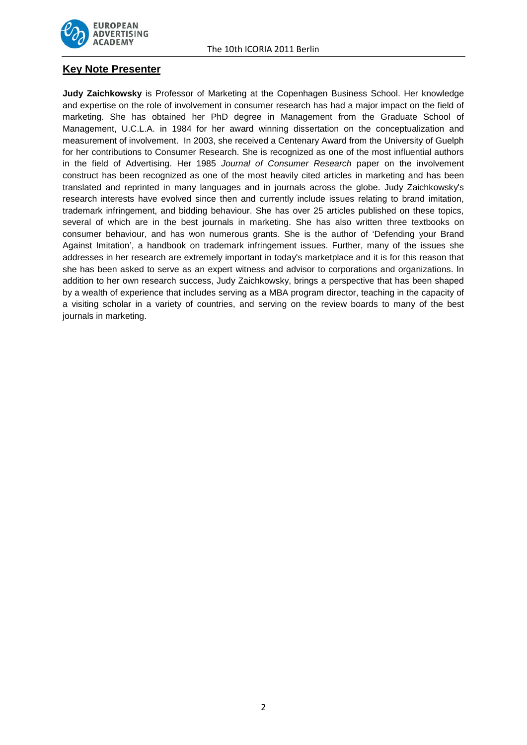

## **Key Note Presenter**

**Judy Zaichkowsky** is Professor of Marketing at the Copenhagen Business School. Her knowledge and expertise on the role of involvement in consumer research has had a major impact on the field of marketing. She has obtained her PhD degree in Management from the Graduate School of Management, U.C.L.A. in 1984 for her award winning dissertation on the conceptualization and measurement of involvement. In 2003, she received a Centenary Award from the University of Guelph for her contributions to Consumer Research. She is recognized as one of the most influential authors in the field of Advertising. Her 1985 *Journal of Consumer Research* paper on the involvement construct has been recognized as one of the most heavily cited articles in marketing and has been translated and reprinted in many languages and in journals across the globe. Judy Zaichkowsky's research interests have evolved since then and currently include issues relating to brand imitation, trademark infringement, and bidding behaviour. She has over 25 articles published on these topics, several of which are in the best journals in marketing. She has also written three textbooks on consumer behaviour, and has won numerous grants. She is the author of 'Defending your Brand Against Imitation', a handbook on trademark infringement issues. Further, many of the issues she addresses in her research are extremely important in today's marketplace and it is for this reason that she has been asked to serve as an expert witness and advisor to corporations and organizations. In addition to her own research success, Judy Zaichkowsky, brings a perspective that has been shaped by a wealth of experience that includes serving as a MBA program director, teaching in the capacity of a visiting scholar in a variety of countries, and serving on the review boards to many of the best journals in marketing.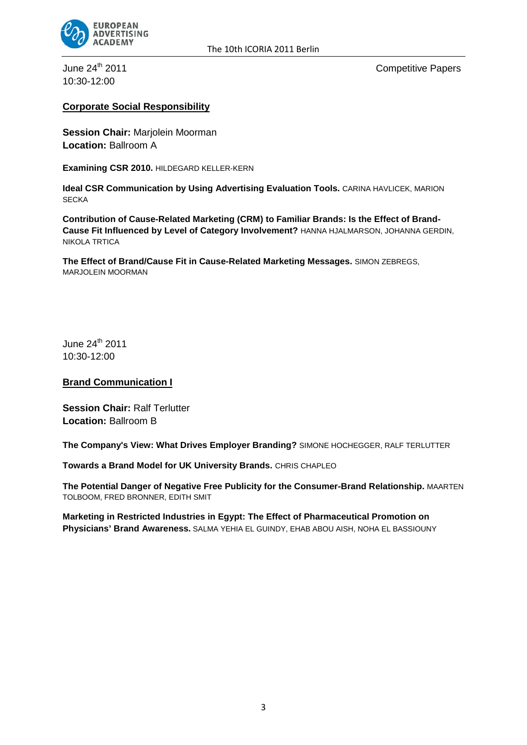

10:30-12:00

June 24<sup>th</sup> 2011 **Competitive Papers** 

## **Corporate Social Responsibility**

**Session Chair:** Marjolein Moorman **Location:** Ballroom A

**Examining CSR 2010.** HILDEGARD KELLER-KERN

**Ideal CSR Communication by Using Advertising Evaluation Tools.** CARINA HAVLICEK, MARION **SECKA** 

**Contribution of Cause-Related Marketing (CRM) to Familiar Brands: Is the Effect of Brand-Cause Fit Influenced by Level of Category Involvement?** HANNA HJALMARSON, JOHANNA GERDIN, NIKOLA TRTICA

**The Effect of Brand/Cause Fit in Cause-Related Marketing Messages.** SIMON ZEBREGS, MARJOLEIN MOORMAN

June  $24^{th}$  2011 10:30-12:00

#### **Brand Communication I**

**Session Chair:** Ralf Terlutter **Location:** Ballroom B

**The Company's View: What Drives Employer Branding?** SIMONE HOCHEGGER, RALF TERLUTTER

**Towards a Brand Model for UK University Brands.** CHRIS CHAPLEO

**The Potential Danger of Negative Free Publicity for the Consumer-Brand Relationship.** MAARTEN TOLBOOM, FRED BRONNER, EDITH SMIT

**Marketing in Restricted Industries in Egypt: The Effect of Pharmaceutical Promotion on Physicians' Brand Awareness.** SALMA YEHIA EL GUINDY, EHAB ABOU AISH, NOHA EL BASSIOUNY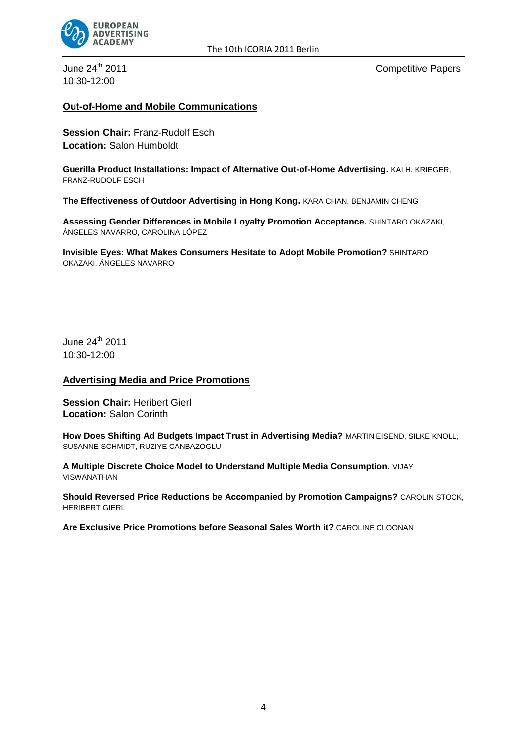

10:30-12:00

June 24<sup>th</sup> 2011 **Competitive Papers** 

## **Out-of-Home and Mobile Communications**

**Session Chair:** Franz-Rudolf Esch **Location:** Salon Humboldt

**Guerilla Product Installations: Impact of Alternative Out-of-Home Advertising.** KAI H. KRIEGER, FRANZ-RUDOLF ESCH

**The Effectiveness of Outdoor Advertising in Hong Kong.** KARA CHAN, BENJAMIN CHENG

**Assessing Gender Differences in Mobile Loyalty Promotion Acceptance.** SHINTARO OKAZAKI, ÁNGELES NAVARRO, CAROLINA LÓPEZ

**Invisible Eyes: What Makes Consumers Hesitate to Adopt Mobile Promotion?** SHINTARO OKAZAKI, ÁNGELES NAVARRO

June  $24^{th}$  2011 10:30-12:00

#### **Advertising Media and Price Promotions**

**Session Chair: Heribert Gierl Location:** Salon Corinth

**How Does Shifting Ad Budgets Impact Trust in Advertising Media?** MARTIN EISEND, SILKE KNOLL, SUSANNE SCHMIDT, RUZIYE CANBAZOGLU

**A Multiple Discrete Choice Model to Understand Multiple Media Consumption.** VIJAY VISWANATHAN

**Should Reversed Price Reductions be Accompanied by Promotion Campaigns?** CAROLIN STOCK, HERIBERT GIERL

**Are Exclusive Price Promotions before Seasonal Sales Worth it?** CAROLINE CLOONAN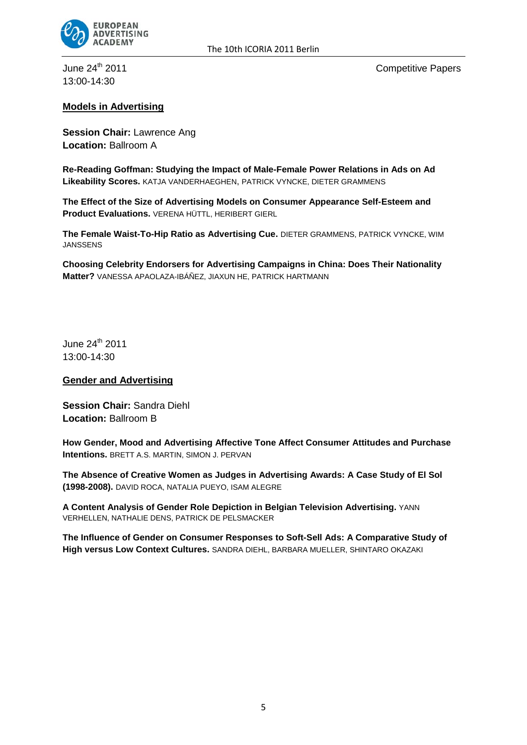

13:00-14:30

June 24<sup>th</sup> 2011 **Competitive Papers** 

## **Models in Advertising**

**Session Chair:** Lawrence Ang **Location:** Ballroom A

**Re-Reading Goffman: Studying the Impact of Male-Female Power Relations in Ads on Ad Likeability Scores.** KATJA VANDERHAEGHEN, PATRICK VYNCKE, DIETER GRAMMENS

**The Effect of the Size of Advertising Models on Consumer Appearance Self-Esteem and Product Evaluations.** VERENA HÜTTL, HERIBERT GIERL

**The Female Waist-To-Hip Ratio as Advertising Cue.** DIETER GRAMMENS, PATRICK VYNCKE, WIM **JANSSENS** 

**Choosing Celebrity Endorsers for Advertising Campaigns in China: Does Their Nationality Matter?** VANESSA APAOLAZA-IBÁÑEZ, JIAXUN HE, PATRICK HARTMANN

June 24<sup>th</sup> 2011 13:00-14:30

**Gender and Advertising**

**Session Chair:** Sandra Diehl **Location:** Ballroom B

**How Gender, Mood and Advertising Affective Tone Affect Consumer Attitudes and Purchase Intentions.** BRETT A.S. MARTIN, SIMON J. PERVAN

**The Absence of Creative Women as Judges in Advertising Awards: A Case Study of El Sol (1998-2008).** DAVID ROCA, NATALIA PUEYO, ISAM ALEGRE

**A Content Analysis of Gender Role Depiction in Belgian Television Advertising.** YANN VERHELLEN, NATHALIE DENS, PATRICK DE PELSMACKER

**The Influence of Gender on Consumer Responses to Soft-Sell Ads: A Comparative Study of High versus Low Context Cultures.** SANDRA DIEHL, BARBARA MUELLER, SHINTARO OKAZAKI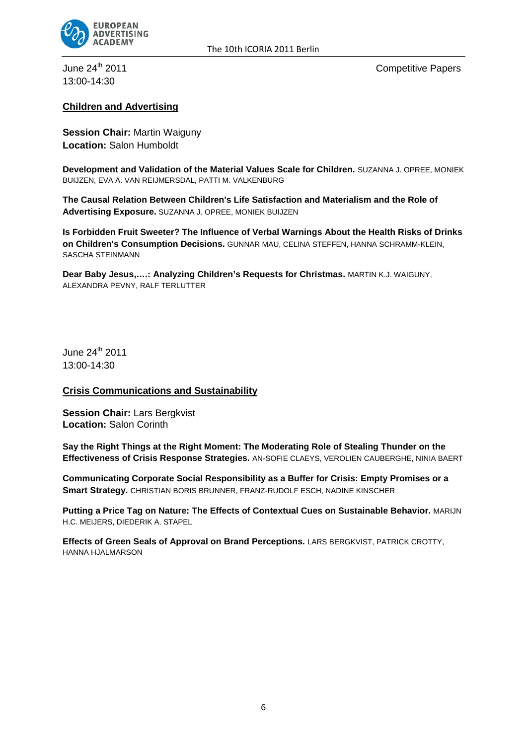

13:00-14:30

June 24<sup>th</sup> 2011 **Competitive Papers** 

## **Children and Advertising**

**Session Chair:** Martin Waiguny **Location:** Salon Humboldt

**Development and Validation of the Material Values Scale for Children.** SUZANNA J. OPREE, MONIEK BUIJZEN, EVA A. VAN REIJMERSDAL, PATTI M. VALKENBURG

**The Causal Relation Between Children's Life Satisfaction and Materialism and the Role of Advertising Exposure.** SUZANNA J. OPREE, MONIEK BUIJZEN

**Is Forbidden Fruit Sweeter? The Influence of Verbal Warnings About the Health Risks of Drinks on Children's Consumption Decisions.** GUNNAR MAU, CELINA STEFFEN, HANNA SCHRAMM-KLEIN, SASCHA STEINMANN

**Dear Baby Jesus,….: Analyzing Children's Requests for Christmas.** MARTIN K.J. WAIGUNY, ALEXANDRA PEVNY, RALF TERLUTTER

June 24<sup>th</sup> 2011 13:00-14:30

#### **Crisis Communications and Sustainability**

**Session Chair: Lars Bergkvist Location:** Salon Corinth

**Say the Right Things at the Right Moment: The Moderating Role of Stealing Thunder on the Effectiveness of Crisis Response Strategies.** AN-SOFIE CLAEYS, VEROLIEN CAUBERGHE, NINIA BAERT

**Communicating Corporate Social Responsibility as a Buffer for Crisis: Empty Promises or a Smart Strategy.** CHRISTIAN BORIS BRUNNER, FRANZ-RUDOLF ESCH, NADINE KINSCHER

**Putting a Price Tag on Nature: The Effects of Contextual Cues on Sustainable Behavior. MARIJN** H.C. MEIJERS, DIEDERIK A. STAPEL

**Effects of Green Seals of Approval on Brand Perceptions.** LARS BERGKVIST, PATRICK CROTTY, HANNA HJALMARSON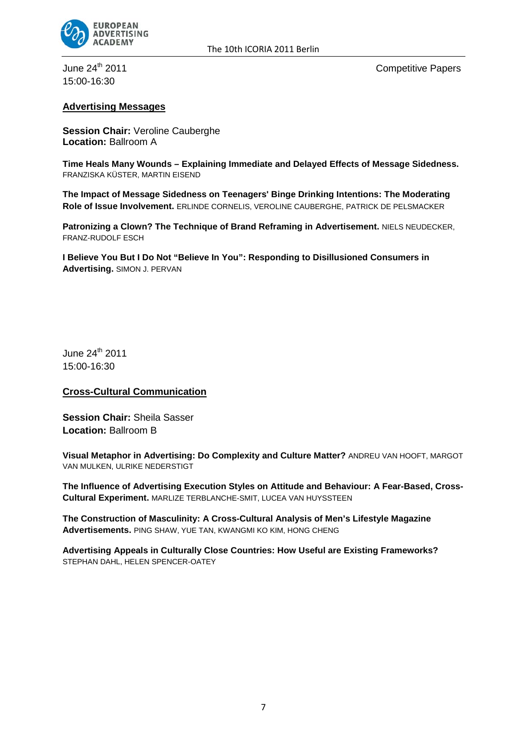

#### The 10th ICORIA 2011 Berlin

15:00-16:30

June 24<sup>th</sup> 2011 **Competitive Papers** 

#### **Advertising Messages**

**Session Chair:** Veroline Cauberghe **Location:** Ballroom A

**Time Heals Many Wounds – Explaining Immediate and Delayed Effects of Message Sidedness.** FRANZISKA KÜSTER, MARTIN EISEND

**The Impact of Message Sidedness on Teenagers' Binge Drinking Intentions: The Moderating Role of Issue Involvement.** ERLINDE CORNELIS, VEROLINE CAUBERGHE, PATRICK DE PELSMACKER

**Patronizing a Clown? The Technique of Brand Reframing in Advertisement.** NIELS NEUDECKER, FRANZ-RUDOLF ESCH

**I Believe You But I Do Not "Believe In You": Responding to Disillusioned Consumers in Advertising.** SIMON J. PERVAN

June 24<sup>th</sup> 2011 15:00-16:30

#### **Cross-Cultural Communication**

**Session Chair:** Sheila Sasser **Location:** Ballroom B

**Visual Metaphor in Advertising: Do Complexity and Culture Matter?** ANDREU VAN HOOFT, MARGOT VAN MULKEN, ULRIKE NEDERSTIGT

**The Influence of Advertising Execution Styles on Attitude and Behaviour: A Fear-Based, Cross-Cultural Experiment.** MARLIZE TERBLANCHE-SMIT, LUCEA VAN HUYSSTEEN

**The Construction of Masculinity: A Cross-Cultural Analysis of Men's Lifestyle Magazine Advertisements.** PING SHAW, YUE TAN, KWANGMI KO KIM, HONG CHENG

**Advertising Appeals in Culturally Close Countries: How Useful are Existing Frameworks?** STEPHAN DAHL, HELEN SPENCER-OATEY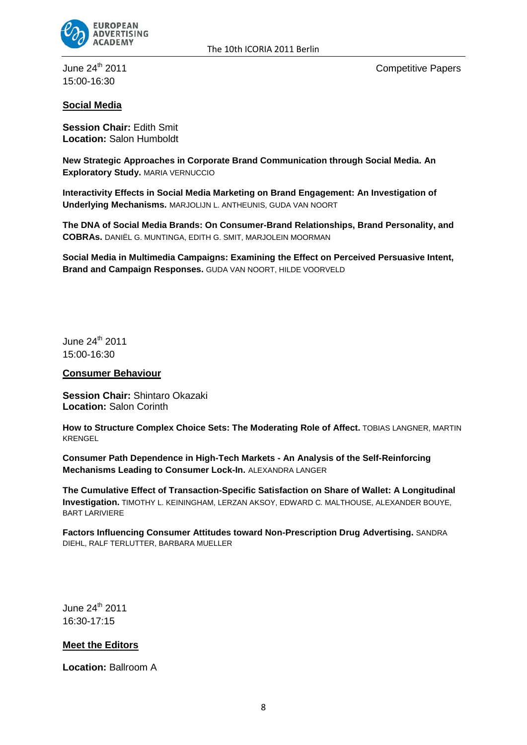

15:00-16:30

June 24<sup>th</sup> 2011 **Competitive Papers** 

## **Social Media**

**Session Chair:** Edith Smit **Location:** Salon Humboldt

**New Strategic Approaches in Corporate Brand Communication through Social Media. An Exploratory Study.** MARIA VERNUCCIO

**Interactivity Effects in Social Media Marketing on Brand Engagement: An Investigation of Underlying Mechanisms.** MARJOLIJN L. ANTHEUNIS, GUDA VAN NOORT

**The DNA of Social Media Brands: On Consumer-Brand Relationships, Brand Personality, and COBRAs.** DANIËL G. MUNTINGA, EDITH G. SMIT, MARJOLEIN MOORMAN

**Social Media in Multimedia Campaigns: Examining the Effect on Perceived Persuasive Intent, Brand and Campaign Responses.** GUDA VAN NOORT, HILDE VOORVELD

June 24<sup>th</sup> 2011 15:00-16:30

**Consumer Behaviour**

**Session Chair:** Shintaro Okazaki **Location:** Salon Corinth

**How to Structure Complex Choice Sets: The Moderating Role of Affect.** TOBIAS LANGNER, MARTIN KRENGEL

**Consumer Path Dependence in High-Tech Markets - An Analysis of the Self-Reinforcing Mechanisms Leading to Consumer Lock-In.** ALEXANDRA LANGER

**The Cumulative Effect of Transaction-Specific Satisfaction on Share of Wallet: A Longitudinal Investigation.** TIMOTHY L. KEININGHAM, LERZAN AKSOY, EDWARD C. MALTHOUSE, ALEXANDER BOUYE, BART LARIVIERE

**Factors Influencing Consumer Attitudes toward Non-Prescription Drug Advertising.** SANDRA DIEHL, RALF TERLUTTER, BARBARA MUELLER

June 24th 2011 16:30-17:15

## **Meet the Editors**

**Location:** Ballroom A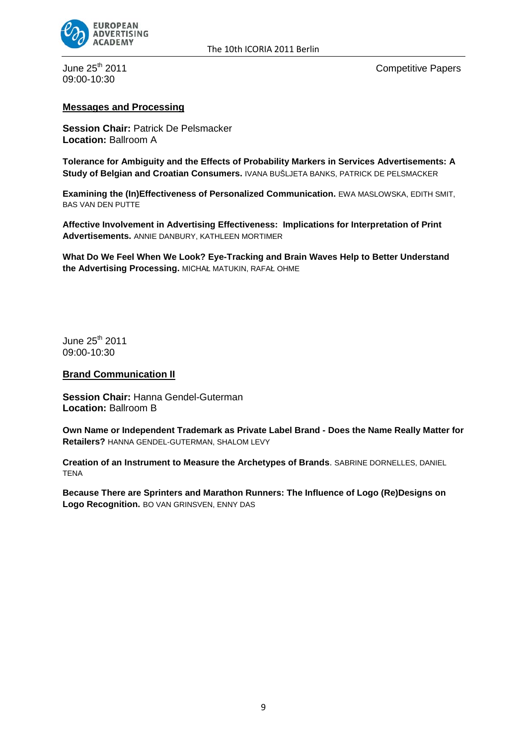

09:00-10:30

June 25<sup>th</sup> 2011 **Competitive Papers** 

#### **Messages and Processing**

**Session Chair:** Patrick De Pelsmacker **Location:** Ballroom A

**Tolerance for Ambiguity and the Effects of Probability Markers in Services Advertisements: A Study of Belgian and Croatian Consumers.** IVANA BUŠLJETA BANKS, PATRICK DE PELSMACKER

**Examining the (In)Effectiveness of Personalized Communication.** EWA MASLOWSKA, EDITH SMIT, BAS VAN DEN PUTTE

**Affective Involvement in Advertising Effectiveness: Implications for Interpretation of Print Advertisements.** ANNIE DANBURY, KATHLEEN MORTIMER

**What Do We Feel When We Look? Eye-Tracking and Brain Waves Help to Better Understand the Advertising Processing.** MICHAŁ MATUKIN, RAFAŁ OHME

June 25<sup>th</sup> 2011 09:00-10:30

#### **Brand Communication II**

**Session Chair:** Hanna Gendel-Guterman **Location:** Ballroom B

**Own Name or Independent Trademark as Private Label Brand - Does the Name Really Matter for Retailers?** HANNA GENDEL-GUTERMAN, SHALOM LEVY

**Creation of an Instrument to Measure the Archetypes of Brands**. SABRINE DORNELLES, DANIEL **TENA** 

**Because There are Sprinters and Marathon Runners: The Influence of Logo (Re)Designs on Logo Recognition.** BO VAN GRINSVEN, ENNY DAS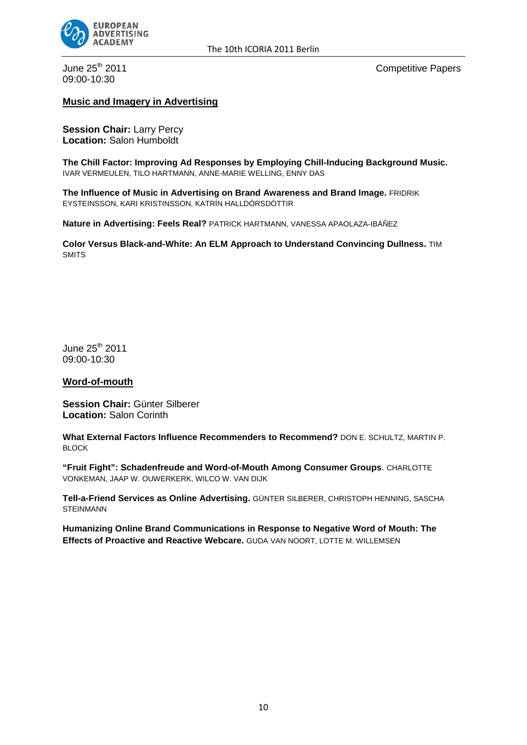

09:00-10:30

June 25<sup>th</sup> 2011 **Competitive Papers** 

#### **Music and Imagery in Advertising**

**Session Chair:** Larry Percy **Location:** Salon Humboldt

**The Chill Factor: Improving Ad Responses by Employing Chill-Inducing Background Music.**  IVAR VERMEULEN, TILO HARTMANN, ANNE-MARIE WELLING, ENNY DAS

**The Influence of Music in Advertising on Brand Awareness and Brand Image.** FRIDRIK EYSTEINSSON, KARI KRISTINSSON, KATRÍN HALLDÓRSDÓTTIR

**Nature in Advertising: Feels Real?** PATRICK HARTMANN, VANESSA APAOLAZA-IBÁÑEZ

**Color Versus Black-and-White: An ELM Approach to Understand Convincing Dullness.** TIM **SMITS** 

June 25<sup>th</sup> 2011 09:00-10:30

#### **Word-of-mouth**

**Session Chair:** Günter Silberer **Location:** Salon Corinth

**What External Factors Influence Recommenders to Recommend?** DON E. SCHULTZ, MARTIN P. BLOCK

**"Fruit Fight": Schadenfreude and Word-of-Mouth Among Consumer Groups**. CHARLOTTE VONKEMAN, JAAP W. OUWERKERK, WILCO W. VAN DIJK

**Tell-a-Friend Services as Online Advertising.** GÜNTER SILBERER, CHRISTOPH HENNING, SASCHA STEINMANN

**Humanizing Online Brand Communications in Response to Negative Word of Mouth: The Effects of Proactive and Reactive Webcare.** GUDA VAN NOORT, LOTTE M. WILLEMSEN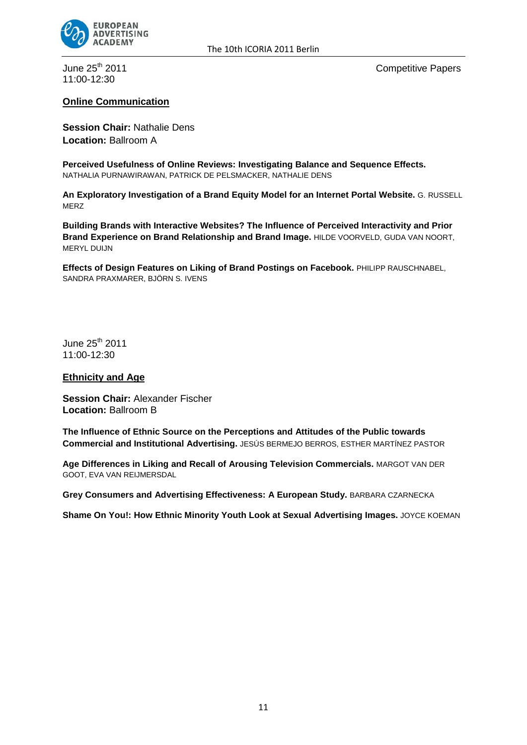

11:00-12:30

June 25<sup>th</sup> 2011 **Competitive Papers** 

## **Online Communication**

**Session Chair:** Nathalie Dens **Location:** Ballroom A

**Perceived Usefulness of Online Reviews: Investigating Balance and Sequence Effects.** NATHALIA PURNAWIRAWAN, PATRICK DE PELSMACKER, NATHALIE DENS

**An Exploratory Investigation of a Brand Equity Model for an Internet Portal Website.** G. RUSSELL MERZ

**Building Brands with Interactive Websites? The Influence of Perceived Interactivity and Prior Brand Experience on Brand Relationship and Brand Image.** HILDE VOORVELD, GUDA VAN NOORT, MERYL DUIJN

**Effects of Design Features on Liking of Brand Postings on Facebook.** PHILIPP RAUSCHNABEL, SANDRA PRAXMARER, BJÖRN S. IVENS

June  $25<sup>th</sup>$  2011 11:00-12:30

#### **Ethnicity and Age**

**Session Chair:** Alexander Fischer **Location:** Ballroom B

**The Influence of Ethnic Source on the Perceptions and Attitudes of the Public towards Commercial and Institutional Advertising.** JESÚS BERMEJO BERROS, ESTHER MARTÍNEZ PASTOR

**Age Differences in Liking and Recall of Arousing Television Commercials.** MARGOT VAN DER GOOT, EVA VAN REIJMERSDAL

**Grey Consumers and Advertising Effectiveness: A European Study.** BARBARA CZARNECKA

**Shame On You!: How Ethnic Minority Youth Look at Sexual Advertising Images.** JOYCE KOEMAN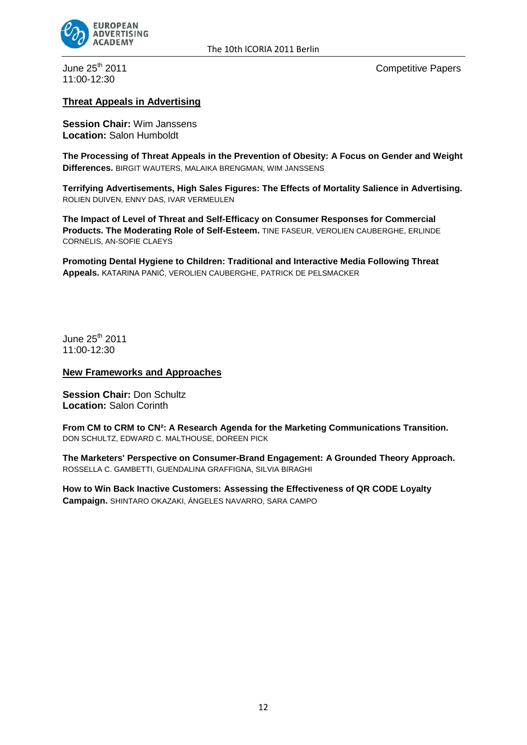

11:00-12:30

June 25<sup>th</sup> 2011 **Competitive Papers** 

## **Threat Appeals in Advertising**

**Session Chair:** Wim Janssens **Location:** Salon Humboldt

**The Processing of Threat Appeals in the Prevention of Obesity: A Focus on Gender and Weight Differences.** BIRGIT WAUTERS, MALAIKA BRENGMAN, WIM JANSSENS

**Terrifying Advertisements, High Sales Figures: The Effects of Mortality Salience in Advertising.** ROLIEN DUIVEN, ENNY DAS, IVAR VERMEULEN

**The Impact of Level of Threat and Self-Efficacy on Consumer Responses for Commercial Products. The Moderating Role of Self-Esteem.** TINE FASEUR, VEROLIEN CAUBERGHE, ERLINDE CORNELIS, AN-SOFIE CLAEYS

**Promoting Dental Hygiene to Children: Traditional and Interactive Media Following Threat Appeals.** KATARINA PANIĆ, VEROLIEN CAUBERGHE, PATRICK DE PELSMACKER

June 25<sup>th</sup> 2011 11:00-12:30

**New Frameworks and Approaches**

**Session Chair:** Don Schultz **Location:** Salon Corinth

**From CM to CRM to CN²: A Research Agenda for the Marketing Communications Transition.** DON SCHULTZ, EDWARD C. MALTHOUSE, DOREEN PICK

**The Marketers' Perspective on Consumer-Brand Engagement: A Grounded Theory Approach.** ROSSELLA C. GAMBETTI, GUENDALINA GRAFFIGNA, SILVIA BIRAGHI

**How to Win Back Inactive Customers: Assessing the Effectiveness of QR CODE Loyalty Campaign.** SHINTARO OKAZAKI, ÁNGELES NAVARRO, SARA CAMPO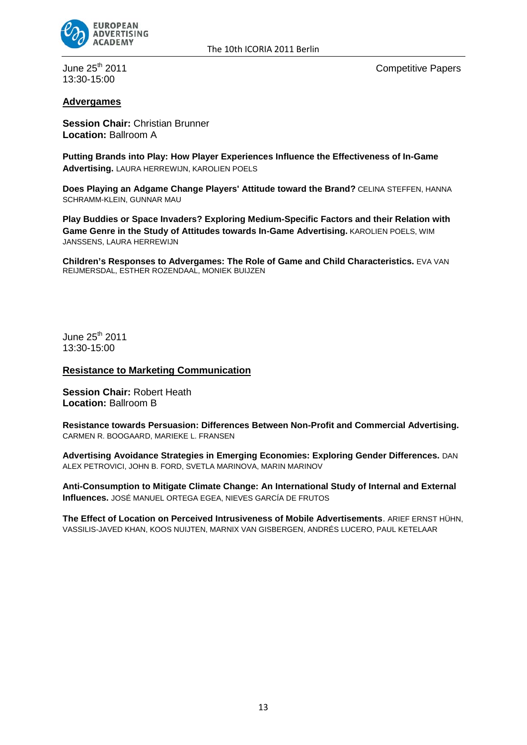

13:30-15:00

June 25<sup>th</sup> 2011 **Competitive Papers** 

## **Advergames**

**Session Chair:** Christian Brunner **Location:** Ballroom A

**Putting Brands into Play: How Player Experiences Influence the Effectiveness of In-Game Advertising.** LAURA HERREWIJN, KAROLIEN POELS

**Does Playing an Adgame Change Players' Attitude toward the Brand?** CELINA STEFFEN, HANNA SCHRAMM-KLEIN, GUNNAR MAU

**Play Buddies or Space Invaders? Exploring Medium-Specific Factors and their Relation with Game Genre in the Study of Attitudes towards In-Game Advertising.** KAROLIEN POELS, WIM JANSSENS, LAURA HERREWIJN

**Children's Responses to Advergames: The Role of Game and Child Characteristics.** EVA VAN REIJMERSDAL, ESTHER ROZENDAAL, MONIEK BUIJZEN

June 25<sup>th</sup> 2011 13:30-15:00

#### **Resistance to Marketing Communication**

**Session Chair:** Robert Heath **Location:** Ballroom B

**Resistance towards Persuasion: Differences Between Non-Profit and Commercial Advertising.** CARMEN R. BOOGAARD, MARIEKE L. FRANSEN

**Advertising Avoidance Strategies in Emerging Economies: Exploring Gender Differences.** DAN ALEX PETROVICI, JOHN B. FORD, SVETLA MARINOVA, MARIN MARINOV

**Anti-Consumption to Mitigate Climate Change: An International Study of Internal and External Influences.** JOSÉ MANUEL ORTEGA EGEA, NIEVES GARCÍA DE FRUTOS

**The Effect of Location on Perceived Intrusiveness of Mobile Advertisements**. ARIEF ERNST HÜHN, VASSILIS-JAVED KHAN, KOOS NUIJTEN, MARNIX VAN GISBERGEN, ANDRÉS LUCERO, PAUL KETELAAR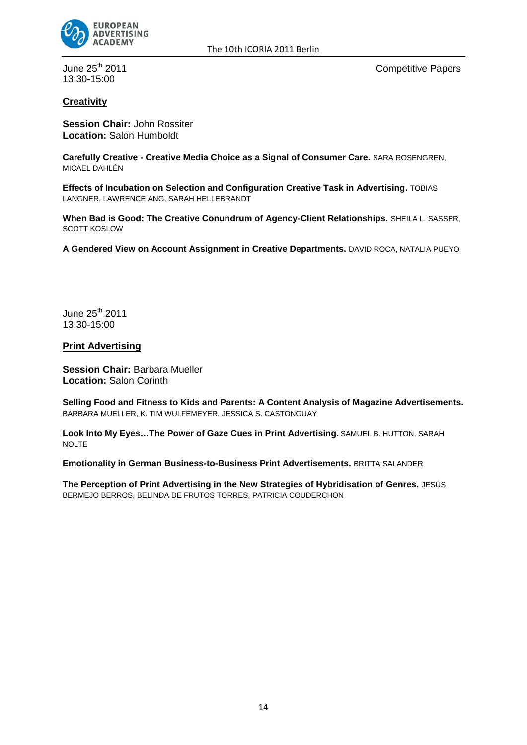

13:30-15:00

June 25<sup>th</sup> 2011 **Competitive Papers** 

## **Creativity**

**Session Chair:** John Rossiter **Location:** Salon Humboldt

**Carefully Creative - Creative Media Choice as a Signal of Consumer Care.** SARA ROSENGREN, MICAEL DAHLÉN

**Effects of Incubation on Selection and Configuration Creative Task in Advertising.** TOBIAS LANGNER, LAWRENCE ANG, SARAH HELLEBRANDT

**When Bad is Good: The Creative Conundrum of Agency-Client Relationships.** SHEILA L. SASSER, SCOTT KOSLOW

**A Gendered View on Account Assignment in Creative Departments.** DAVID ROCA, NATALIA PUEYO

June 25<sup>th</sup> 2011 13:30-15:00

#### **Print Advertising**

**Session Chair:** Barbara Mueller **Location:** Salon Corinth

**Selling Food and Fitness to Kids and Parents: A Content Analysis of Magazine Advertisements.** BARBARA MUELLER, K. TIM WULFEMEYER, JESSICA S. CASTONGUAY

**Look Into My Eyes…The Power of Gaze Cues in Print Advertising.** SAMUEL B. HUTTON, SARAH NOLTE

**Emotionality in German Business-to-Business Print Advertisements.** BRITTA SALANDER

**The Perception of Print Advertising in the New Strategies of Hybridisation of Genres.** JESÚS BERMEJO BERROS, BELINDA DE FRUTOS TORRES, PATRICIA COUDERCHON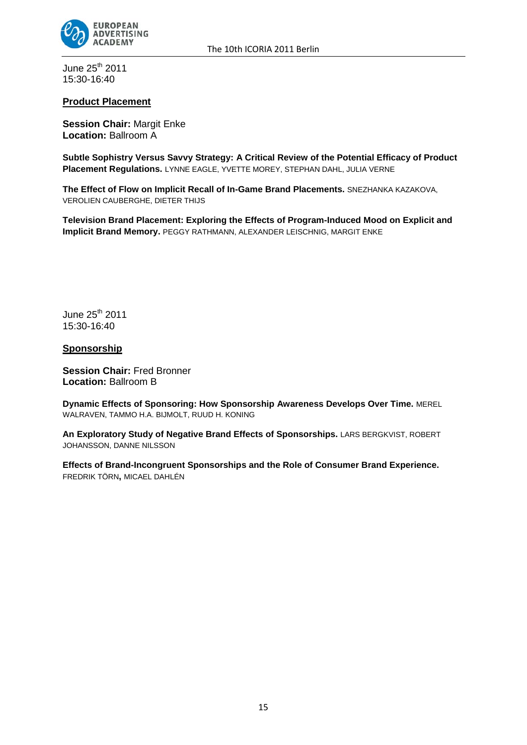

June 25<sup>th</sup> 2011 15:30-16:40

## **Product Placement**

**Session Chair:** Margit Enke **Location:** Ballroom A

**Subtle Sophistry Versus Savvy Strategy: A Critical Review of the Potential Efficacy of Product Placement Regulations.** LYNNE EAGLE, YVETTE MOREY, STEPHAN DAHL, JULIA VERNE

**The Effect of Flow on Implicit Recall of In-Game Brand Placements.** SNEZHANKA KAZAKOVA, VEROLIEN CAUBERGHE, DIETER THIJS

**Television Brand Placement: Exploring the Effects of Program-Induced Mood on Explicit and Implicit Brand Memory.** PEGGY RATHMANN, ALEXANDER LEISCHNIG, MARGIT ENKE

June  $25<sup>th</sup>$  2011 15:30-16:40

#### **Sponsorship**

**Session Chair:** Fred Bronner **Location: Ballroom B** 

**Dynamic Effects of Sponsoring: How Sponsorship Awareness Develops Over Time.** MEREL WALRAVEN, TAMMO H.A. BIJMOLT, RUUD H. KONING

**An Exploratory Study of Negative Brand Effects of Sponsorships.** LARS BERGKVIST, ROBERT JOHANSSON, DANNE NILSSON

**Effects of Brand-Incongruent Sponsorships and the Role of Consumer Brand Experience.** FREDRIK TÖRN**,** MICAEL DAHLÉN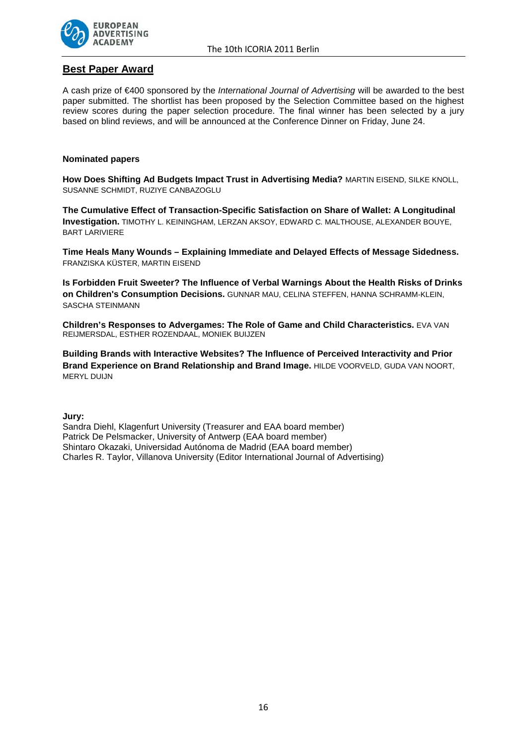

## **Best Paper Award**

A cash prize of €400 sponsored by the *International Journal of Advertising* will be awarded to the best paper submitted. The shortlist has been proposed by the Selection Committee based on the highest review scores during the paper selection procedure. The final winner has been selected by a jury based on blind reviews, and will be announced at the Conference Dinner on Friday, June 24.

#### **Nominated papers**

**How Does Shifting Ad Budgets Impact Trust in Advertising Media?** MARTIN EISEND, SILKE KNOLL, SUSANNE SCHMIDT, RUZIYE CANBAZOGLU

**The Cumulative Effect of Transaction-Specific Satisfaction on Share of Wallet: A Longitudinal Investigation.** TIMOTHY L. KEININGHAM, LERZAN AKSOY, EDWARD C. MALTHOUSE, ALEXANDER BOUYE, BART LARIVIERE

**Time Heals Many Wounds – Explaining Immediate and Delayed Effects of Message Sidedness.** FRANZISKA KÜSTER, MARTIN EISEND

**Is Forbidden Fruit Sweeter? The Influence of Verbal Warnings About the Health Risks of Drinks on Children's Consumption Decisions.** GUNNAR MAU, CELINA STEFFEN, HANNA SCHRAMM-KLEIN, SASCHA STEINMANN

**Children's Responses to Advergames: The Role of Game and Child Characteristics.** EVA VAN REIJMERSDAL, ESTHER ROZENDAAL, MONIEK BUIJZEN

**Building Brands with Interactive Websites? The Influence of Perceived Interactivity and Prior Brand Experience on Brand Relationship and Brand Image.** HILDE VOORVELD, GUDA VAN NOORT, MERYL DUIJN

**Jury:**

Sandra Diehl, Klagenfurt University (Treasurer and EAA board member) Patrick De Pelsmacker, University of Antwerp (EAA board member) Shintaro Okazaki, Universidad Autónoma de Madrid (EAA board member) Charles R. Taylor, Villanova University (Editor International Journal of Advertising)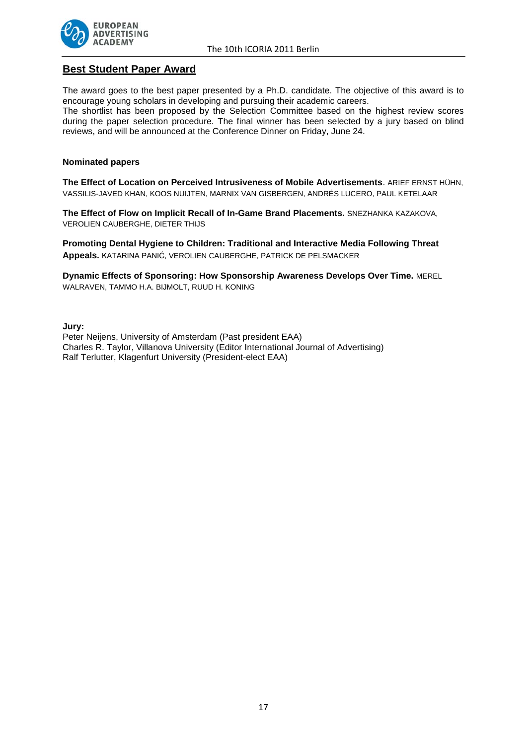

## **Best Student Paper Award**

The award goes to the best paper presented by a Ph.D. candidate. The objective of this award is to encourage young scholars in developing and pursuing their academic careers.

The shortlist has been proposed by the Selection Committee based on the highest review scores during the paper selection procedure. The final winner has been selected by a jury based on blind reviews, and will be announced at the Conference Dinner on Friday, June 24.

#### **Nominated papers**

**The Effect of Location on Perceived Intrusiveness of Mobile Advertisements**. ARIEF ERNST HÜHN, VASSILIS-JAVED KHAN, KOOS NUIJTEN, MARNIX VAN GISBERGEN, ANDRÉS LUCERO, PAUL KETELAAR

**The Effect of Flow on Implicit Recall of In-Game Brand Placements.** SNEZHANKA KAZAKOVA, VEROLIEN CAUBERGHE, DIETER THIJS

**Promoting Dental Hygiene to Children: Traditional and Interactive Media Following Threat Appeals.** KATARINA PANIĆ, VEROLIEN CAUBERGHE, PATRICK DE PELSMACKER

**Dynamic Effects of Sponsoring: How Sponsorship Awareness Develops Over Time.** MEREL WALRAVEN, TAMMO H.A. BIJMOLT, RUUD H. KONING

**Jury:**

Peter Neijens, University of Amsterdam (Past president EAA) Charles R. Taylor, Villanova University (Editor International Journal of Advertising) Ralf Terlutter, Klagenfurt University (President-elect EAA)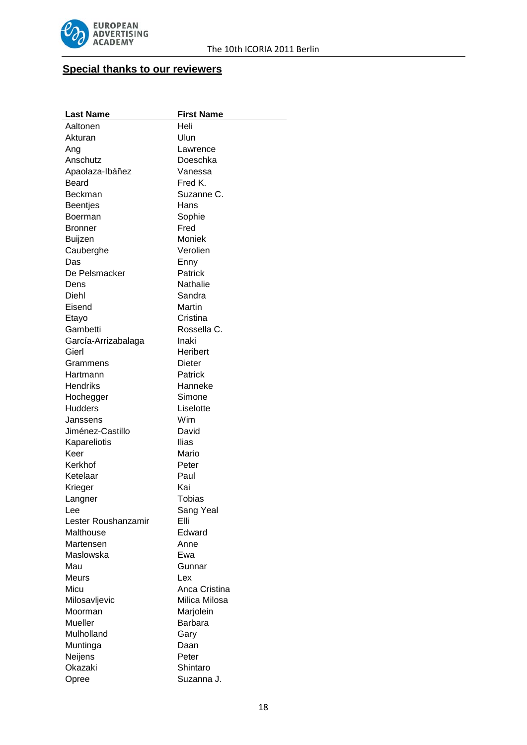

# **Special thanks to our reviewers**

| <b>Last Name</b>    | <b>First Name</b> |
|---------------------|-------------------|
| Aaltonen            | Heli              |
| Akturan             | Ulun              |
| Ang                 | Lawrence          |
| Anschutz            | Doeschka          |
| Apaolaza-Ibáñez     | Vanessa           |
| Beard               | Fred K.           |
| Beckman             | Suzanne C.        |
| <b>Beentjes</b>     | Hans              |
| Boerman             | Sophie            |
| Bronner             | Fred              |
| Buijzen             | Moniek            |
| Cauberghe           | Verolien          |
| Das                 | Enny              |
| De Pelsmacker       | Patrick           |
| Dens                | Nathalie          |
| Diehl               | Sandra            |
| Eisend              | Martin            |
| Etayo               | Cristina          |
| Gambetti            | Rossella C.       |
| García-Arrizabalaga | Inaki             |
| Gierl               | Heribert          |
| Grammens            | Dieter            |
| Hartmann            | Patrick           |
| Hendriks            | Hanneke           |
| Hochegger           | Simone            |
| <b>Hudders</b>      | Liselotte         |
| Janssens            | Wim               |
| Jiménez-Castillo    | David             |
| Kapareliotis        | Ilias             |
| Keer                | Mario             |
| Kerkhof             | Peter             |
| Ketelaar            | Paul              |
| Krieger             | Kai               |
| Langner             | Tobias            |
| Lee                 | Sang Yeal         |
| Lester Roushanzamir | Elli              |
| Malthouse           | Edward            |
| Martensen           | Anne              |
| Maslowska           | Ewa               |
| Mau                 | Gunnar            |
| Meurs               | Lex               |
| Micu                | Anca Cristina     |
| Milosavljevic       | Milica Milosa     |
| Moorman             | Marjolein         |
| Mueller             | <b>Barbara</b>    |
| Mulholland          | Gary              |
| Muntinga            | Daan              |
| Neijens             | Peter             |
| Okazaki             | Shintaro          |
| Opree               | Suzanna J.        |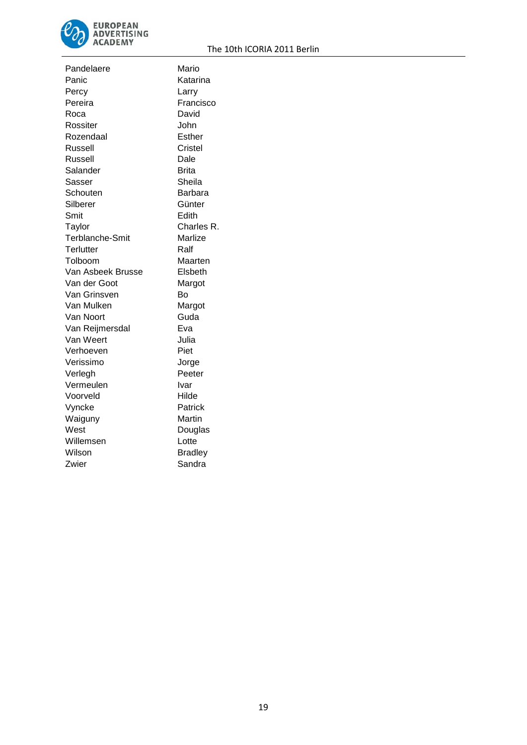

| Pandelaere             | Mario          |
|------------------------|----------------|
| Panic                  | Katarina       |
| Percy                  | Larry          |
| Pereira                | Francisco      |
| Roca                   | David          |
| Rossiter               | John           |
| Rozendaal              | Esther         |
| Russell                | Cristel        |
| Russell                | Dale           |
| Salander               | Brita          |
| Sasser                 | Sheila         |
| Schouten               | Barbara        |
| Silberer               | Günter         |
| Smit                   | Edith          |
| Taylor                 | Charles R.     |
| <b>Terblanche-Smit</b> | Marlize        |
| Terlutter              | Ralf           |
| Tolboom                | Maarten        |
| Van Asbeek Brusse      | Elsbeth        |
| Van der Goot           | Margot         |
| Van Grinsven           | Bo             |
| Van Mulken             | Margot         |
| Van Noort              | Guda           |
| Van Reijmersdal        | Eva            |
| Van Weert              | Julia          |
| Verhoeven              | Piet           |
| Verissimo              | Jorge          |
| Verlegh                | Peeter         |
| Vermeulen              | Ivar           |
| Voorveld               | Hilde          |
| Vyncke                 | Patrick        |
| Waiguny                | Martin         |
| West                   | Douglas        |
| Willemsen              | Lotte          |
| Wilson                 | <b>Bradley</b> |
| Zwier                  | Sandra         |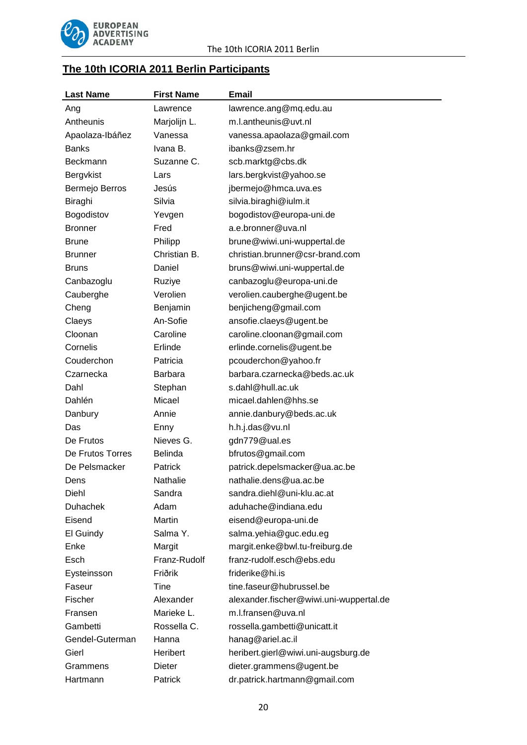

# **The 10th ICORIA 2011 Berlin Participants**

| <b>Last Name</b> | <b>First Name</b> | <b>Email</b>                            |  |
|------------------|-------------------|-----------------------------------------|--|
| Ang              | Lawrence          | lawrence.ang@mq.edu.au                  |  |
| Antheunis        | Marjolijn L.      | m.l.antheunis@uvt.nl                    |  |
| Apaolaza-Ibáñez  | Vanessa           | vanessa.apaolaza@gmail.com              |  |
| <b>Banks</b>     | Ivana B.          | ibanks@zsem.hr                          |  |
| Beckmann         | Suzanne C.        | scb.marktg@cbs.dk                       |  |
| Bergvkist        | Lars              | lars.bergkvist@yahoo.se                 |  |
| Bermejo Berros   | Jesús             | jbermejo@hmca.uva.es                    |  |
| Biraghi          | Silvia            | silvia.biraghi@iulm.it                  |  |
| Bogodistov       | Yevgen            | bogodistov@europa-uni.de                |  |
| <b>Bronner</b>   | Fred              | a.e.bronner@uva.nl                      |  |
| Brune            | Philipp           | brune@wiwi.uni-wuppertal.de             |  |
| <b>Brunner</b>   | Christian B.      | christian.brunner@csr-brand.com         |  |
| <b>Bruns</b>     | Daniel            | bruns@wiwi.uni-wuppertal.de             |  |
| Canbazoglu       | Ruziye            | canbazoglu@europa-uni.de                |  |
| Cauberghe        | Verolien          | verolien.cauberghe@ugent.be             |  |
| Cheng            | Benjamin          | benjicheng@gmail.com                    |  |
| Claeys           | An-Sofie          | ansofie.claeys@ugent.be                 |  |
| Cloonan          | Caroline          | caroline.cloonan@gmail.com              |  |
| Cornelis         | Erlinde           | erlinde.cornelis@ugent.be               |  |
| Couderchon       | Patricia          | pcouderchon@yahoo.fr                    |  |
| Czarnecka        | <b>Barbara</b>    | barbara.czarnecka@beds.ac.uk            |  |
| Dahl             | Stephan           | s.dahl@hull.ac.uk                       |  |
| Dahlén           | Micael            | micael.dahlen@hhs.se                    |  |
| Danbury          | Annie             | annie.danbury@beds.ac.uk                |  |
| Das              | Enny              | h.h.j.das@vu.nl                         |  |
| De Frutos        | Nieves G.         | gdn779@ual.es                           |  |
| De Frutos Torres | <b>Belinda</b>    | bfrutos@gmail.com                       |  |
| De Pelsmacker    | Patrick           | patrick.depelsmacker@ua.ac.be           |  |
| Dens             | Nathalie          | nathalie.dens@ua.ac.be                  |  |
| Diehl            | Sandra            | sandra.diehl@uni-klu.ac.at              |  |
| <b>Duhachek</b>  | Adam              | aduhache@indiana.edu                    |  |
| Eisend           | <b>Martin</b>     | eisend@europa-uni.de                    |  |
| El Guindy        | Salma Y.          | salma.yehia@guc.edu.eg                  |  |
| Enke             | Margit            | margit.enke@bwl.tu-freiburg.de          |  |
| Esch             | Franz-Rudolf      | franz-rudolf.esch@ebs.edu               |  |
| Eysteinsson      | Friðrik           | friderike@hi.is                         |  |
| Faseur           | Tine              | tine.faseur@hubrussel.be                |  |
| Fischer          | Alexander         | alexander.fischer@wiwi.uni-wuppertal.de |  |
| Fransen          | Marieke L.        | m.l.fransen@uva.nl                      |  |
| Gambetti         | Rossella C.       | rossella.gambetti@unicatt.it            |  |
| Gendel-Guterman  | Hanna             | hanag@ariel.ac.il                       |  |
| Gierl            | Heribert          | heribert.gierl@wiwi.uni-augsburg.de     |  |
| Grammens         | Dieter            | dieter.grammens@ugent.be                |  |
| Hartmann         | Patrick           | dr.patrick.hartmann@gmail.com           |  |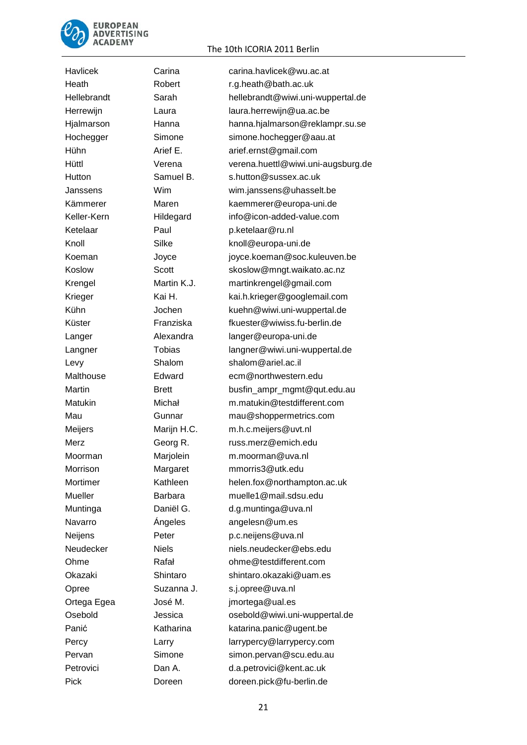

Havlicek Carina [carina.havlicek@wu.ac.at](mailto:carina.havlicek@wu.ac.at) Ketelaar Paul [p.ketelaar@ru.nl](mailto:p.ketelaar@ru.nl) Levy Shalom shalom@ariel.ac.il Morrison Margaret mmorris3@utk.edu Navarro *Ángeles* [angelesn@um.es](mailto:angelesn@um.es) Neijens Peter p.c.neijens@uva.nl Opree Suzanna J. [s.j.opree@uva.nl](mailto:s.j.opree@uva.nl) Ortega Egea José M. [jmortega@ual.es](mailto:jmortega@ual.es)

#### The 10th ICORIA 2011 Berlin

Heath Robert r.g.heath@bath.ac.uk Hellebrandt Sarah [hellebrandt@wiwi.uni-wuppertal.de](mailto:hellebrandt@wiwi.uni-wuppertal.de) Herrewijn Laura laura.herrewijn@ua.ac.be Hjalmarson Hanna [hanna.hjalmarson@reklampr.su.se](mailto:hanna.hjalmarson@reklampr.su.se) Hochegger Simone [simone.hochegger@aau.at](mailto:simone.hochegger@aau.at) Hühn **Arief E.** arief.ernst@gmail.com Hüttl Verena [verena.huettl@wiwi.uni-augsburg.de](mailto:verena.huettl@wiwi.uni-augsburg.de) Hutton Samuel B. Samuel B. S.hutton@sussex.ac.uk Janssens Wim [wim.janssens@uhasselt.be](mailto:wim.janssens@uhasselt.be) Kämmerer Maren kaemmerer@europa-uni.de Keller-Kern Hildegard info@icon-added-value.com Knoll Silke [knoll@europa-uni.de](mailto:knoll@europa-uni.de) Koeman Joyce [joyce.koeman@soc.kuleuven.be](mailto:joyce.koeman@soc.kuleuven.be) Koslow Scott [skoslow@mngt.waikato.ac.nz](mailto:skoslow@mngt.waikato.ac.nz) Krengel Martin K.J. [martinkrengel@gmail.com](mailto:martinkrengel@gmail.com) Krieger Kai H. [kai.h.krieger@googlemail.com](mailto:kai.h.krieger@googlemail.com) Kühn Jochen kuehn@wiwi.uni-wuppertal.de Küster Franziska [fkuester@wiwiss.fu-berlin.de](mailto:fkuester@wiwiss.fu-berlin.de) Langer **Alexandra** [langer@europa-uni.de](mailto:langer@europa-uni.de) Langner Tobias langner@wiwi.uni-wuppertal.de Malthouse Edward ecm@northwestern.edu Martin Brett busfin ampr\_mgmt@qut.edu.au Matukin Michał [m.matukin@testdifferent.com](mailto:m.matukin@testdifferent.com) Mau Gunnar [mau@shoppermetrics.com](mailto:mau@shoppermetrics.com) Meijers Marijn H.C. [m.h.c.meijers@uvt.nl](mailto:m.h.c.meijers@uvt.nl) Merz Georg R. [russ.merz@emich.edu](mailto:russ.merz@emich.edu) Moorman Marjolein [m.moorman@uva.nl](mailto:m.moorman@uva.nl) Mortimer Kathleen [helen.fox@northampton.ac.uk](mailto:helen.fox@northampton.ac.uk) Mueller Barbara [muelle1@mail.sdsu.edu](mailto:muelle1@mail.sdsu.edu) Muntinga Daniël G. baniël G. [d.g.muntinga@uva.nl](mailto:d.g.muntinga@uva.nl) Neudecker Niels [niels.neudecker@ebs.edu](mailto:niels.neudecker@ebs.edu) Ohme Rafał [ohme@testdifferent.com](mailto:ohme@testdifferent.com) Okazaki Shintaro [shintaro.okazaki@uam.es](mailto:shintaro.okazaki@uam.es) Osebold Jessica osebold@wiwi.uni-wuppertal.de Panić Katharina [katarina.panic@ugent.be](mailto:katarina.panic@ugent.be) Percy **Larry Larry Larrypercy@larrypercy.com** Pervan Simone [simon.pervan@scu.edu.au](mailto:simon.pervan@scu.edu.au) Petrovici Dan A. [d.a.petrovici@kent.ac.uk](mailto:d.a.petrovici@kent.ac.uk) Pick Doreen [doreen.pick@fu-berlin.de](mailto:doreen.pick@fu-berlin.de)